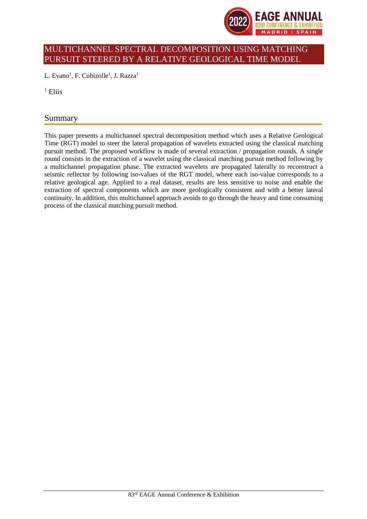

# MULTICHANNEL SPECTRAL DECOMPOSITION USING MATCHING PURSUIT STEERED BY A RELATIVE GEOLOGICAL TIME MODEL

L. Evano<sup>1</sup>, F. Cubizolle<sup>1</sup>, J. Razza<sup>1</sup>

 $1$  Eliis

# Summary

This paper presents a multichannel spectral decomposition method which uses a Relative Geological Time (RGT) model to steer the lateral propagation of wavelets extracted using the classical matching pursuit method. The proposed workflow is made of several extraction / propagation rounds. A single round consists in the extraction of a wavelet using the classical matching pursuit method following by a multichannel propagation phase. The extracted wavelets are propagated laterally to reconstruct a seismic reflector by following iso-values of the RGT model, where each iso-value corresponds to a relative geological age. Applied to a real dataset, results are less sensitive to noise and enable the extraction of spectral components which are more geologically consistent and with a better lateral continuity. In addition, this multichannel approach avoids to go through the heavy and time consuming process of the classical matching pursuit method.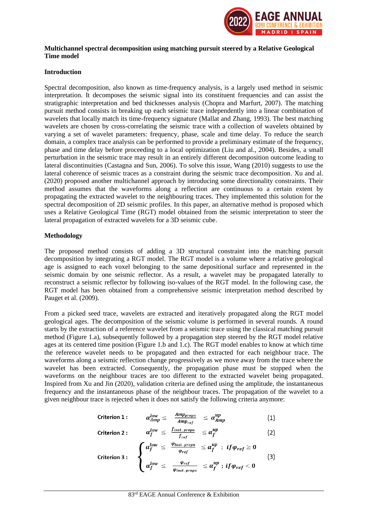

#### **Multichannel spectral decomposition using matching pursuit steered by a Relative Geological Time model**

## **Introduction**

Spectral decomposition, also known as time-frequency analysis, is a largely used method in seismic interpretation. It decomposes the seismic signal into its constituent frequencies and can assist the stratigraphic interpretation and bed thicknesses analysis (Chopra and Marfurt, 2007). The matching pursuit method consists in breaking up each seismic trace independently into a linear combination of wavelets that locally match its time-frequency signature (Mallat and Zhang, 1993). The best matching wavelets are chosen by cross-correlating the seismic trace with a collection of wavelets obtained by varying a set of wavelet parameters: frequency, phase, scale and time delay. To reduce the search domain, a complex trace analysis can be performed to provide a preliminary estimate of the frequency, phase and time delay before proceeding to a local optimization (Liu and al., 2004). Besides, a small perturbation in the seismic trace may result in an entirely different decomposition outcome leading to lateral discontinuities (Castagna and Sun, 2006). To solve this issue, Wang (2010) suggests to use the lateral coherence of seismic traces as a constraint during the seismic trace decomposition. Xu and al. (2020) proposed another multichannel approach by introducing some directionality constraints. Their method assumes that the waveforms along a reflection are continuous to a certain extent by propagating the extracted wavelet to the neighbouring traces. They implemented this solution for the spectral decomposition of 2D seismic profiles. In this paper, an alternative method is proposed which uses a Relative Geological Time (RGT) model obtained from the seismic interpretation to steer the lateral propagation of extracted wavelets for a 3D seismic cube.

# **Methodology**

The proposed method consists of adding a 3D structural constraint into the matching pursuit decomposition by integrating a RGT model. The RGT model is a volume where a relative geological age is assigned to each voxel belonging to the same depositional surface and represented in the seismic domain by one seismic reflector. As a result, a wavelet may be propagated laterally to reconstruct a seismic reflector by following iso-values of the RGT model. In the following case, the RGT model has been obtained from a comprehensive seismic interpretation method described by Pauget et al. (2009).

From a picked seed trace, wavelets are extracted and iteratively propagated along the RGT model geological ages. The decomposition of the seismic volume is performed in several rounds. A round starts by the extraction of a reference wavelet from a seismic trace using the classical matching pursuit method (Figure 1.a), subsequently followed by a propagation step steered by the RGT model relative ages at its centered time position (Figure 1.b and 1.c). The RGT model enables to know at which time the reference wavelet needs to be propagated and then extracted for each neighbour trace. The waveforms along a seismic reflection change progressively as we move away from the trace where the wavelet has been extracted. Consequently, the propagation phase must be stopped when the waveforms on the neighbour traces are too different to the extracted wavelet being propagated. Inspired from Xu and Jin (2020), validation criteria are defined using the amplitude, the instantaneous frequency and the instantaneous phase of the neighbour traces. The propagation of the wavelet to a given neighbour trace is rejected when it does not satisfy the following criteria anymore:

$$
\text{Criterion 1:} \qquad \alpha_{Amp}^{low} \leq \frac{Amp_{propa}}{Amp_{ref}} \quad \leq \alpha_{Amp}^{up} \qquad (1)
$$

$$
\text{Criterion 2:} \qquad \alpha_f^{low} \leq \frac{f_{inst. \, propa}}{f_{ref}} \leq \alpha_f^{up} \qquad (2)
$$

$$
\text{Criterion 3:} \quad \left\{ \begin{array}{l l} \alpha_f^{low} \leq & \frac{\varphi_{inst. \text{propa}}}{\varphi_{ref}} & \leq \alpha_f^{up} \; : \; \text{if } \varphi_{ref} \geq 0 \\ \alpha_f^{low} \leq & \frac{\varphi_{ref}}{\varphi_{inst. \text{propa}}} & \leq \alpha_f^{up} \; : \; \text{if } \varphi_{ref} < 0 \end{array} \right. \tag{3}
$$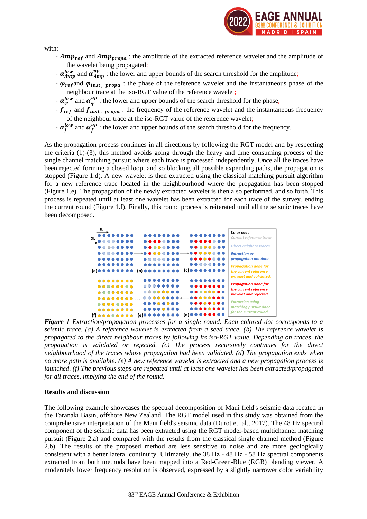

with:

- $Amp_{ref}$  and  $Amp_{propa}$ : the amplitude of the extracted reference wavelet and the amplitude of the wavelet being propagated;
- $\alpha_{Amp}^{low}$  and  $\alpha_{Amp}^{up}$  : the lower and upper bounds of the search threshold for the amplitude;
- $\varphi_{ref}$  and  $\varphi_{inst}$ ,  $_{propa}$ : the phase of the reference wavelet and the instantaneous phase of the neighbour trace at the iso-RGT value of the reference wavelet;
- $-\alpha_{\varphi}^{low}$  and  $\alpha_{\varphi}^{up}$  : the lower and upper bounds of the search threshold for the phase;
- $f_{ref}$  and  $f_{inst}$ ,  $_{propa}$ : the frequency of the reference wavelet and the instantaneous frequency of the neighbour trace at the iso-RGT value of the reference wavelet;
- $-\alpha_f^{low}$  and  $\alpha_f^{up}$  : the lower and upper bounds of the search threshold for the frequency.

As the propagation process continues in all directions by following the RGT model and by respecting the criteria (1)-(3), this method avoids going through the heavy and time consuming process of the single channel matching pursuit where each trace is processed independently. Once all the traces have been rejected forming a closed loop, and so blocking all possible expending paths, the propagation is stopped (Figure 1.d). A new wavelet is then extracted using the classical matching pursuit algorithm for a new reference trace located in the neighbourhood where the propagation has been stopped (Figure 1.e). The propagation of the newly extracted wavelet is then also performed, and so forth. This process is repeated until at least one wavelet has been extracted for each trace of the survey, ending the current round (Figure 1.f). Finally, this round process is reiterated until all the seismic traces have been decomposed.



*Figure 1 Extraction/propagation processes for a single round. Each colored dot corresponds to a seismic trace. (a) A reference wavelet is extracted from a seed trace. (b) The reference wavelet is propagated to the direct neighbour traces by following its iso-RGT value. Depending on traces, the propagation is validated or rejected. (c) The process recursively continues for the direct neighbourhood of the traces whose propagation had been validated. (d) The propagation ends when no more path is available. (e) A new reference wavelet is extracted and a new propagation process is launched. (f) The previous steps are repeated until at least one wavelet has been extracted/propagated for all traces, implying the end of the round.*

### **Results and discussion**

The following example showcases the spectral decomposition of Maui field's seismic data located in the Taranaki Basin, offshore New Zealand. The RGT model used in this study was obtained from the comprehensive interpretation of the Maui field's seismic data (Durot et. al., 2017). The 48 Hz spectral component of the seismic data has been extracted using the RGT model-based multichannel matching pursuit (Figure 2.a) and compared with the results from the classical single channel method (Figure 2.b). The results of the proposed method are less sensitive to noise and are more geologically consistent with a better lateral continuity. Ultimately, the 38 Hz - 48 Hz - 58 Hz spectral components extracted from both methods have been mapped into a Red-Green-Blue (RGB) blending viewer. A moderately lower frequency resolution is observed, expressed by a slightly narrower color variability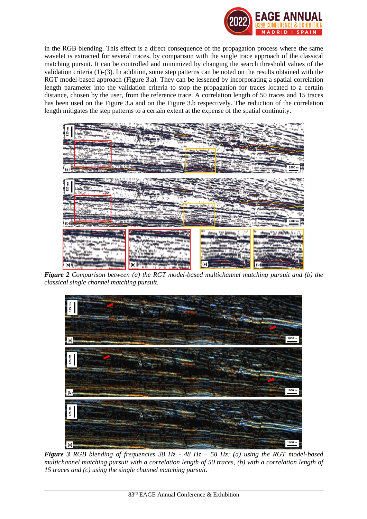

in the RGB blending. This effect is a direct consequence of the propagation process where the same wavelet is extracted for several traces, by comparison with the single trace approach of the classical matching pursuit. It can be controlled and minimized by changing the search threshold values of the validation criteria (1)-(3). In addition, some step patterns can be noted on the results obtained with the RGT model-based approach (Figure 3.a). They can be lessened by incorporating a spatial correlation length parameter into the validation criteria to stop the propagation for traces located to a certain distance, chosen by the user, from the reference trace. A correlation length of 50 traces and 15 traces has been used on the Figure 3.a and on the Figure 3.b respectively. The reduction of the correlation length mitigates the step patterns to a certain extent at the expense of the spatial continuity.



*Figure 2 Comparison between (a) the RGT model-based multichannel matching pursuit and (b) the classical single channel matching pursuit.*



*Figure 3 RGB blending of frequencies 38 Hz - 48 Hz – 58 Hz: (a) using the RGT model-based multichannel matching pursuit with a correlation length of 50 traces, (b) with a correlation length of 15 traces and (c) using the single channel matching pursuit.*